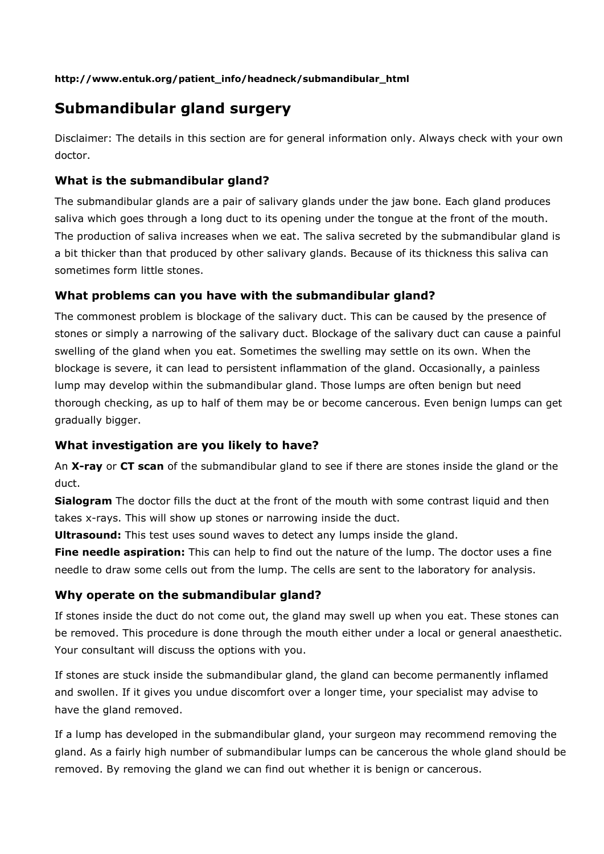## **http://www.entuk.org/patient\_info/headneck/submandibular\_html**

# **Submandibular gland surgery**

Disclaimer: The details in this section are for general information only. Always check with your own doctor.

# **What is the submandibular gland?**

The submandibular glands are a pair of salivary glands under the jaw bone. Each gland produces saliva which goes through a long duct to its opening under the tongue at the front of the mouth. The production of saliva increases when we eat. The saliva secreted by the submandibular gland is a bit thicker than that produced by other salivary glands. Because of its thickness this saliva can sometimes form little stones.

# **What problems can you have with the submandibular gland?**

The commonest problem is blockage of the salivary duct. This can be caused by the presence of stones or simply a narrowing of the salivary duct. Blockage of the salivary duct can cause a painful swelling of the gland when you eat. Sometimes the swelling may settle on its own. When the blockage is severe, it can lead to persistent inflammation of the gland. Occasionally, a painless lump may develop within the submandibular gland. Those lumps are often benign but need thorough checking, as up to half of them may be or become cancerous. Even benign lumps can get gradually bigger.

# **What investigation are you likely to have?**

An **X-ray** or **CT scan** of the submandibular gland to see if there are stones inside the gland or the duct.

**Sialogram** The doctor fills the duct at the front of the mouth with some contrast liquid and then takes x-rays. This will show up stones or narrowing inside the duct.

**Ultrasound:** This test uses sound waves to detect any lumps inside the gland.

**Fine needle aspiration:** This can help to find out the nature of the lump. The doctor uses a fine needle to draw some cells out from the lump. The cells are sent to the laboratory for analysis.

# **Why operate on the submandibular gland?**

If stones inside the duct do not come out, the gland may swell up when you eat. These stones can be removed. This procedure is done through the mouth either under a local or general anaesthetic. Your consultant will discuss the options with you.

If stones are stuck inside the submandibular gland, the gland can become permanently inflamed and swollen. If it gives you undue discomfort over a longer time, your specialist may advise to have the gland removed.

If a lump has developed in the submandibular gland, your surgeon may recommend removing the gland. As a fairly high number of submandibular lumps can be cancerous the whole gland should be removed. By removing the gland we can find out whether it is benign or cancerous.